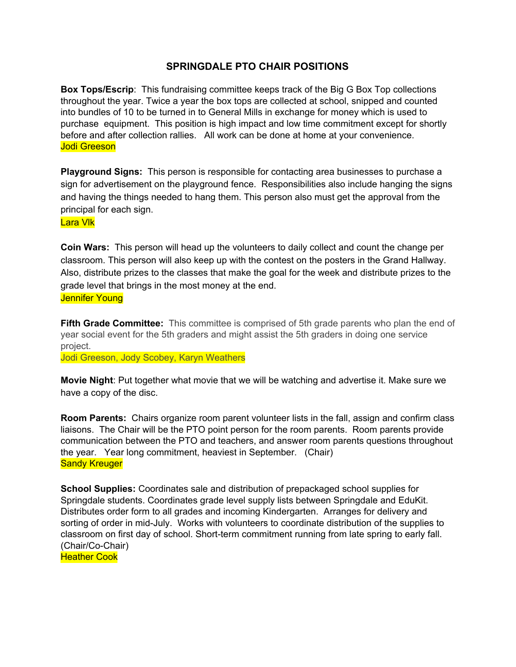## **SPRINGDALE PTO CHAIR POSITIONS**

**Box Tops/Escrip**: This fundraising committee keeps track of the Big G Box Top collections throughout the year. Twice a year the box tops are collected at school, snipped and counted into bundles of 10 to be turned in to General Mills in exchange for money which is used to purchase equipment. This position is high impact and low time commitment except for shortly before and after collection rallies. All work can be done at home at your convenience. Jodi Greeson

**Playground Signs:** This person is responsible for contacting area businesses to purchase a sign for advertisement on the playground fence. Responsibilities also include hanging the signs and having the things needed to hang them. This person also must get the approval from the principal for each sign.

Lara Vlk

**Coin Wars:** This person will head up the volunteers to daily collect and count the change per classroom. This person will also keep up with the contest on the posters in the Grand Hallway. Also, distribute prizes to the classes that make the goal for the week and distribute prizes to the grade level that brings in the most money at the end.

**Jennifer Young** 

**Fifth Grade Committee:** This committee is comprised of 5th grade parents who plan the end of year social event for the 5th graders and might assist the 5th graders in doing one service project.

Jodi Greeson, Jody Scobey, Karyn Weathers

**Movie Night**: Put together what movie that we will be watching and advertise it. Make sure we have a copy of the disc.

**Room Parents:** Chairs organize room parent volunteer lists in the fall, assign and confirm class liaisons. The Chair will be the PTO point person for the room parents. Room parents provide communication between the PTO and teachers, and answer room parents questions throughout the year. Year long commitment, heaviest in September. (Chair) **Sandy Kreuger** 

**School Supplies:** Coordinates sale and distribution of prepackaged school supplies for Springdale students. Coordinates grade level supply lists between Springdale and EduKit. Distributes order form to all grades and incoming Kindergarten. Arranges for delivery and sorting of order in mid-July. Works with volunteers to coordinate distribution of the supplies to classroom on first day of school. Short-term commitment running from late spring to early fall. (Chair/Co-Chair) **Heather Cook**